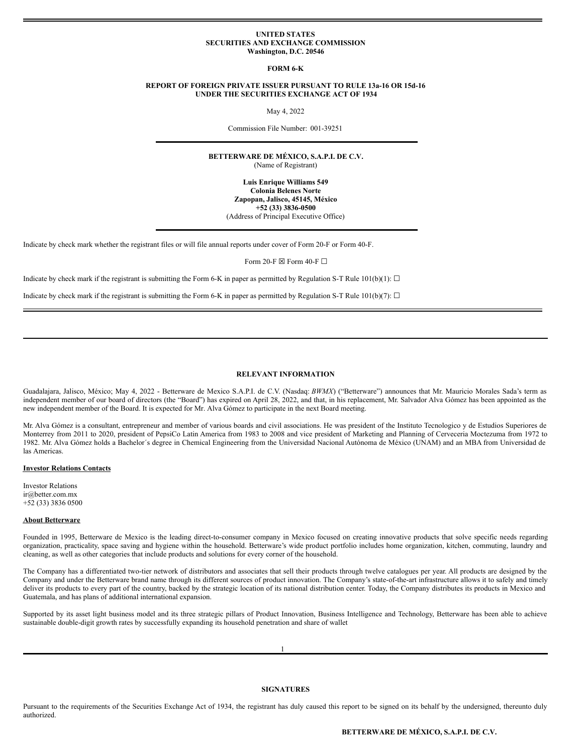### **UNITED STATES SECURITIES AND EXCHANGE COMMISSION Washington, D.C. 20546**

**FORM 6-K**

## **REPORT OF FOREIGN PRIVATE ISSUER PURSUANT TO RULE 13a-16 OR 15d-16 UNDER THE SECURITIES EXCHANGE ACT OF 1934**

May 4, 2022

Commission File Number: 001-39251

**BETTERWARE DE MÉXICO, S.A.P.I. DE C.V.** (Name of Registrant)

> **Luis Enrique Williams 549 Colonia Belenes Norte Zapopan, Jalisco, 45145, México +52 (33) 3836-0500** (Address of Principal Executive Office)

Indicate by check mark whether the registrant files or will file annual reports under cover of Form 20-F or Form 40-F.

Form 20-F  $\boxtimes$  Form 40-F  $\Box$ 

Indicate by check mark if the registrant is submitting the Form 6-K in paper as permitted by Regulation S-T Rule 101(b)(1):  $\Box$ 

Indicate by check mark if the registrant is submitting the Form 6-K in paper as permitted by Regulation S-T Rule 101(b)(7):  $\Box$ 

# **RELEVANT INFORMATION**

Guadalajara, Jalisco, México; May 4, 2022 - Betterware de Mexico S.A.P.I. de C.V. (Nasdaq: *BWMX*) ("Betterware") announces that Mr. Mauricio Morales Sada's term as independent member of our board of directors (the "Board") has expired on April 28, 2022, and that, in his replacement, Mr. Salvador Alva Gómez has been appointed as the new independent member of the Board. It is expected for Mr. Alva Gómez to participate in the next Board meeting.

Mr. Alva Gómez is a consultant, entrepreneur and member of various boards and civil associations. He was president of the Instituto Tecnologico y de Estudios Superiores de Monterrey from 2011 to 2020, president of PepsiCo Latin America from 1983 to 2008 and vice president of Marketing and Planning of Cerveceria Moctezuma from 1972 to 1982. Mr. Alva Gómez holds a Bachelor´s degree in Chemical Engineering from the Universidad Nacional Autónoma de México (UNAM) and an MBA from Universidad de las Americas.

#### **Investor Relations Contacts**

Investor Relations ir@better.com.mx +52 (33) 3836 0500

## **About Betterware**

Founded in 1995, Betterware de Mexico is the leading direct-to-consumer company in Mexico focused on creating innovative products that solve specific needs regarding organization, practicality, space saving and hygiene within the household. Betterware's wide product portfolio includes home organization, kitchen, commuting, laundry and cleaning, as well as other categories that include products and solutions for every corner of the household.

The Company has a differentiated two-tier network of distributors and associates that sell their products through twelve catalogues per year. All products are designed by the Company and under the Betterware brand name through its different sources of product innovation. The Company's state-of-the-art infrastructure allows it to safely and timely deliver its products to every part of the country, backed by the strategic location of its national distribution center. Today, the Company distributes its products in Mexico and Guatemala, and has plans of additional international expansion.

Supported by its asset light business model and its three strategic pillars of Product Innovation, Business Intelligence and Technology, Betterware has been able to achieve sustainable double-digit growth rates by successfully expanding its household penetration and share of wallet

# **SIGNATURES**

Pursuant to the requirements of the Securities Exchange Act of 1934, the registrant has duly caused this report to be signed on its behalf by the undersigned, thereunto duly authorized.